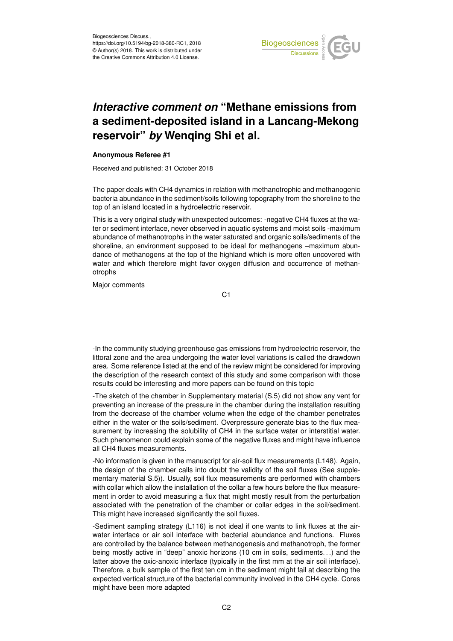

## *Interactive comment on* **"Methane emissions from a sediment-deposited island in a Lancang-Mekong reservoir"** *by* **Wenqing Shi et al.**

## **Anonymous Referee #1**

Received and published: 31 October 2018

The paper deals with CH4 dynamics in relation with methanotrophic and methanogenic bacteria abundance in the sediment/soils following topography from the shoreline to the top of an island located in a hydroelectric reservoir.

This is a very original study with unexpected outcomes: -negative CH4 fluxes at the water or sediment interface, never observed in aquatic systems and moist soils -maximum abundance of methanotrophs in the water saturated and organic soils/sediments of the shoreline, an environment supposed to be ideal for methanogens –maximum abundance of methanogens at the top of the highland which is more often uncovered with water and which therefore might favor oxygen diffusion and occurrence of methanotrophs

Major comments

C1

-In the community studying greenhouse gas emissions from hydroelectric reservoir, the littoral zone and the area undergoing the water level variations is called the drawdown area. Some reference listed at the end of the review might be considered for improving the description of the research context of this study and some comparison with those results could be interesting and more papers can be found on this topic

-The sketch of the chamber in Supplementary material (S.5) did not show any vent for preventing an increase of the pressure in the chamber during the installation resulting from the decrease of the chamber volume when the edge of the chamber penetrates either in the water or the soils/sediment. Overpressure generate bias to the flux measurement by increasing the solubility of CH4 in the surface water or interstitial water. Such phenomenon could explain some of the negative fluxes and might have influence all CH4 fluxes measurements.

-No information is given in the manuscript for air-soil flux measurements (L148). Again, the design of the chamber calls into doubt the validity of the soil fluxes (See supplementary material S.5)). Usually, soil flux measurements are performed with chambers with collar which allow the installation of the collar a few hours before the flux measurement in order to avoid measuring a flux that might mostly result from the perturbation associated with the penetration of the chamber or collar edges in the soil/sediment. This might have increased significantly the soil fluxes.

-Sediment sampling strategy (L116) is not ideal if one wants to link fluxes at the airwater interface or air soil interface with bacterial abundance and functions. Fluxes are controlled by the balance between methanogenesis and methanotroph, the former being mostly active in "deep" anoxic horizons (10 cm in soils, sediments. . .) and the latter above the oxic-anoxic interface (typically in the first mm at the air soil interface). Therefore, a bulk sample of the first ten cm in the sediment might fail at describing the expected vertical structure of the bacterial community involved in the CH4 cycle. Cores might have been more adapted